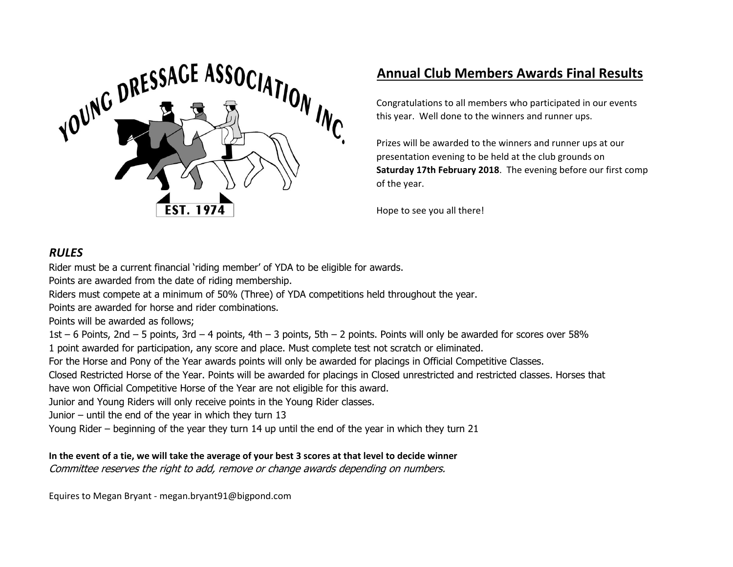

## **Annual Club Members Awards Final Results**

Congratulations to all members who participated in our events this year. Well done to the winners and runner ups.

Prizes will be awarded to the winners and runner ups at our presentation evening to be held at the club grounds on **Saturday 17th February 2018**. The evening before our first comp of the year.

Hope to see you all there!

#### *RULES*

Rider must be a current financial 'riding member' of YDA to be eligible for awards.

Points are awarded from the date of riding membership.

Riders must compete at a minimum of 50% (Three) of YDA competitions held throughout the year.

Points are awarded for horse and rider combinations.

Points will be awarded as follows;

1st – 6 Points, 2nd – 5 points, 3rd – 4 points, 4th – 3 points, 5th – 2 points. Points will only be awarded for scores over 58% 1 point awarded for participation, any score and place. Must complete test not scratch or eliminated.

For the Horse and Pony of the Year awards points will only be awarded for placings in Official Competitive Classes.

Closed Restricted Horse of the Year. Points will be awarded for placings in Closed unrestricted and restricted classes. Horses that

have won Official Competitive Horse of the Year are not eligible for this award.

Junior and Young Riders will only receive points in the Young Rider classes.

Junior – until the end of the year in which they turn 13

Young Rider – beginning of the year they turn 14 up until the end of the year in which they turn 21

#### **In the event of a tie, we will take the average of your best 3 scores at that level to decide winner**

Committee reserves the right to add, remove or change awards depending on numbers.

Equires to Megan Bryant - megan.bryant91@bigpond.com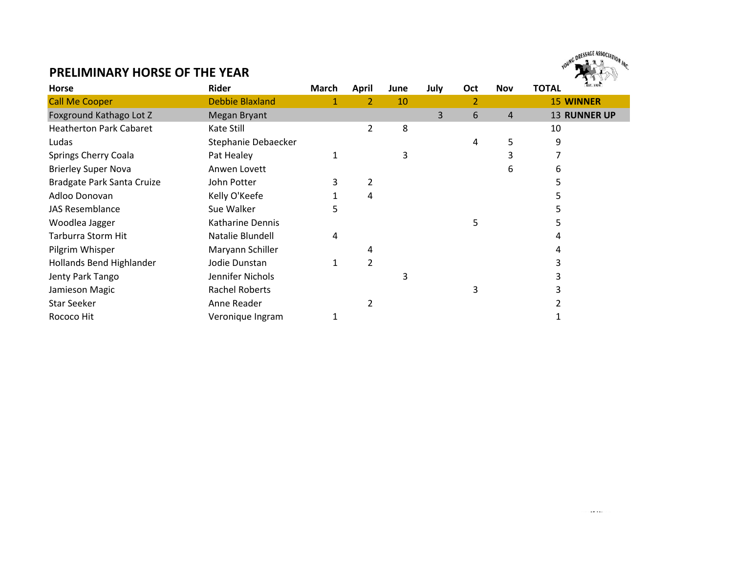

#### **PRELIMINARY HORSE OF THE YEAR**

| <b>Horse</b>                   | Rider                  | March | <b>April</b>   | June | July | Oct | <b>Nov</b> | EST. 1974<br><b>TOTAL</b> |
|--------------------------------|------------------------|-------|----------------|------|------|-----|------------|---------------------------|
| <b>Call Me Cooper</b>          | <b>Debbie Blaxland</b> |       | 2              | 10   |      | 2   |            | <b>15 WINNER</b>          |
| Foxground Kathago Lot Z        | Megan Bryant           |       |                |      | 3    | 6   | 4          | <b>13 RUNNER UP</b>       |
| <b>Heatherton Park Cabaret</b> | Kate Still             |       | 2              | 8    |      |     |            | 10                        |
| Ludas                          | Stephanie Debaecker    |       |                |      |      | 4   | 5          | 9                         |
| Springs Cherry Coala           | Pat Healey             |       |                | 3    |      |     |            |                           |
| <b>Brierley Super Nova</b>     | Anwen Lovett           |       |                |      |      |     | 6          | 6                         |
| Bradgate Park Santa Cruize     | John Potter            | 3     | $\overline{2}$ |      |      |     |            |                           |
| Adloo Donovan                  | Kelly O'Keefe          |       | 4              |      |      |     |            |                           |
| <b>JAS Resemblance</b>         | Sue Walker             | 5     |                |      |      |     |            |                           |
| Woodlea Jagger                 | Katharine Dennis       |       |                |      |      |     |            |                           |
| Tarburra Storm Hit             | Natalie Blundell       | 4     |                |      |      |     |            |                           |
| Pilgrim Whisper                | Maryann Schiller       |       | 4              |      |      |     |            |                           |
| Hollands Bend Highlander       | Jodie Dunstan          |       | $\overline{2}$ |      |      |     |            |                           |
| Jenty Park Tango               | Jennifer Nichols       |       |                | 3    |      |     |            |                           |
| Jamieson Magic                 | <b>Rachel Roberts</b>  |       |                |      |      | 3   |            |                           |
| <b>Star Seeker</b>             | Anne Reader            |       |                |      |      |     |            |                           |
| Rococo Hit                     | Veronique Ingram       |       |                |      |      |     |            |                           |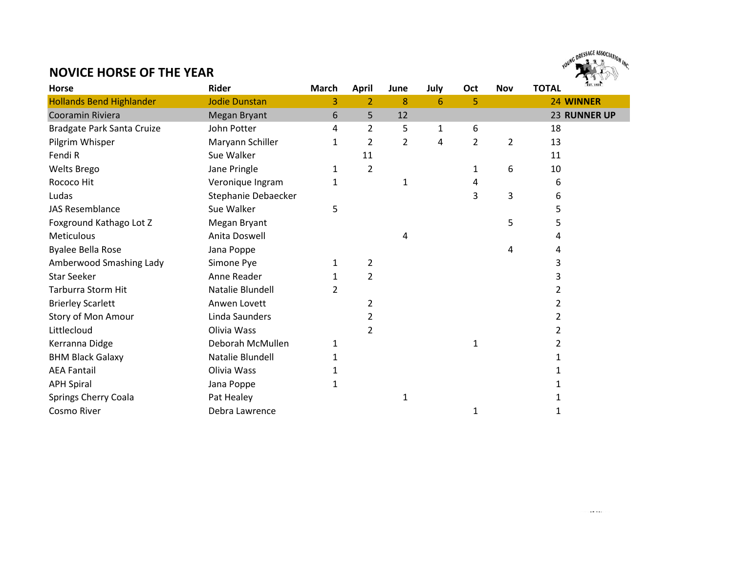# YOUNG DRESSAGE ASSOCIATION INC. NG DRESSAGE ASSOCI

#### **NOVICE HORSE OF THE YEAR**

| <b>Horse</b>                    | <b>Rider</b>         | <b>March</b> | <b>April</b> | June | July | Oct | <b>Nov</b>     | <b>TOTAL</b> | EST. 1974    |
|---------------------------------|----------------------|--------------|--------------|------|------|-----|----------------|--------------|--------------|
| <b>Hollands Bend Highlander</b> | <b>Jodie Dunstan</b> | 3            | 2            | 8    | 6    | 5   |                |              | 24 WINNER    |
| Cooramin Riviera                | <b>Megan Bryant</b>  | 6            | 5            | 12   |      |     |                |              | 23 RUNNER UP |
| Bradgate Park Santa Cruize      | John Potter          | 4            | 2            | 5    | 1    | 6   |                | 18           |              |
| Pilgrim Whisper                 | Maryann Schiller     | 1            | 2            | 2    | 4    | 2   | $\overline{2}$ | 13           |              |
| Fendi R                         | Sue Walker           |              | 11           |      |      |     |                | 11           |              |
| <b>Welts Brego</b>              | Jane Pringle         | 1            | 2            |      |      | 1   | 6              | 10           |              |
| Rococo Hit                      | Veronique Ingram     | 1            |              | 1    |      | 4   |                | 6            |              |
| Ludas                           | Stephanie Debaecker  |              |              |      |      | 3   | 3              | 6            |              |
| <b>JAS Resemblance</b>          | Sue Walker           | 5            |              |      |      |     |                | 5            |              |
| Foxground Kathago Lot Z         | Megan Bryant         |              |              |      |      |     | 5              | 5            |              |
| <b>Meticulous</b>               | Anita Doswell        |              |              | 4    |      |     |                | 4            |              |
| <b>Byalee Bella Rose</b>        | Jana Poppe           |              |              |      |      |     | 4              | 4            |              |
| Amberwood Smashing Lady         | Simone Pye           | 1            | 2            |      |      |     |                |              |              |
| <b>Star Seeker</b>              | Anne Reader          |              | 2            |      |      |     |                |              |              |
| <b>Tarburra Storm Hit</b>       | Natalie Blundell     | 2            |              |      |      |     |                |              |              |
| <b>Brierley Scarlett</b>        | Anwen Lovett         |              | 2            |      |      |     |                | 2            |              |
| Story of Mon Amour              | Linda Saunders       |              | 2            |      |      |     |                | 2            |              |
| Littlecloud                     | Olivia Wass          |              | 2            |      |      |     |                | 2            |              |
| Kerranna Didge                  | Deborah McMullen     | 1            |              |      |      | 1   |                | 2            |              |
| <b>BHM Black Galaxy</b>         | Natalie Blundell     |              |              |      |      |     |                |              |              |
| <b>AEA Fantail</b>              | Olivia Wass          |              |              |      |      |     |                |              |              |
| <b>APH Spiral</b>               | Jana Poppe           | 1            |              |      |      |     |                |              |              |
| Springs Cherry Coala            | Pat Healey           |              |              | 1    |      |     |                |              |              |
| <b>Cosmo River</b>              | Debra Lawrence       |              |              |      |      | 1   |                |              |              |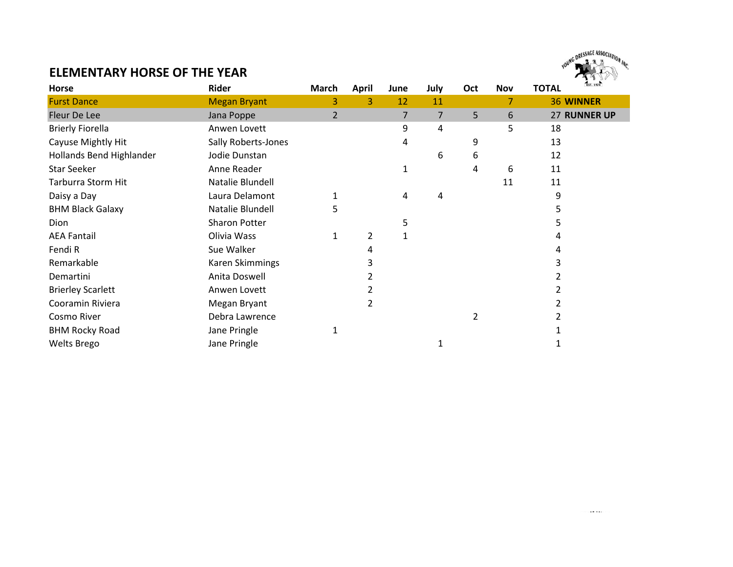

### **ELEMENTARY HORSE OF THE YEAR**

| Horse                    | Rider               | <b>March</b> | <b>April</b> | June | July           | Oct | <b>Nov</b> | EST. 1974<br><b>TOTAL</b> |
|--------------------------|---------------------|--------------|--------------|------|----------------|-----|------------|---------------------------|
| <b>Furst Dance</b>       | <b>Megan Bryant</b> | 3            | 3            | 12   | 11             |     |            | <b>36 WINNER</b>          |
| Fleur De Lee             | Jana Poppe          | 2            |              | 7    | $\overline{7}$ | 5   | 6          | 27 RUNNER UP              |
| <b>Brierly Fiorella</b>  | Anwen Lovett        |              |              | 9    | 4              |     | 5          | 18                        |
| Cayuse Mightly Hit       | Sally Roberts-Jones |              |              | 4    |                | 9   |            | 13                        |
| Hollands Bend Highlander | Jodie Dunstan       |              |              |      | 6              | 6   |            | 12                        |
| <b>Star Seeker</b>       | Anne Reader         |              |              |      |                | 4   | 6          | 11                        |
| Tarburra Storm Hit       | Natalie Blundell    |              |              |      |                |     | 11         | 11                        |
| Daisy a Day              | Laura Delamont      |              |              | 4    | 4              |     |            | 9                         |
| <b>BHM Black Galaxy</b>  | Natalie Blundell    | 5            |              |      |                |     |            |                           |
| Dion                     | Sharon Potter       |              |              | 5    |                |     |            |                           |
| <b>AEA Fantail</b>       | Olivia Wass         | 1            | 2            | 1    |                |     |            |                           |
| Fendi R                  | Sue Walker          |              |              |      |                |     |            | 4                         |
| Remarkable               | Karen Skimmings     |              |              |      |                |     |            |                           |
| Demartini                | Anita Doswell       |              |              |      |                |     |            |                           |
| <b>Brierley Scarlett</b> | Anwen Lovett        |              |              |      |                |     |            |                           |
| Cooramin Riviera         | Megan Bryant        |              | 2            |      |                |     |            |                           |
| Cosmo River              | Debra Lawrence      |              |              |      |                | 2   |            |                           |
| <b>BHM Rocky Road</b>    | Jane Pringle        | 1            |              |      |                |     |            |                           |
| <b>Welts Brego</b>       | Jane Pringle        |              |              |      |                |     |            |                           |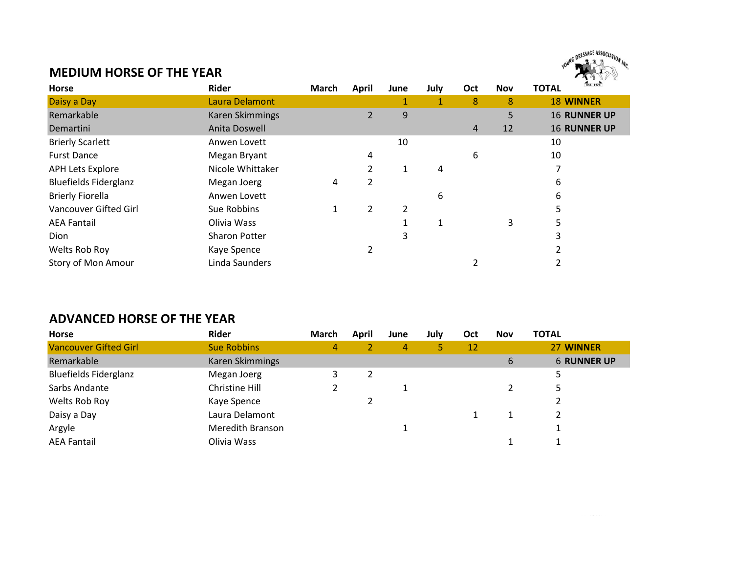## YOUNG DRESSAGE ASSOCIATION INC. NG DRESSAGE ASSOC

#### **MEDIUM HORSE OF THE YEAR**

| Horse                        | <b>Rider</b>     | <b>March</b> | <b>April</b> | June | July | Oct | <b>Nov</b> | EST. 1974<br><b>TOTAL</b> |
|------------------------------|------------------|--------------|--------------|------|------|-----|------------|---------------------------|
| Daisy a Day                  | Laura Delamont   |              |              |      |      | 8   | 8          | <b>18 WINNER</b>          |
| Remarkable                   | Karen Skimmings  |              | 2            | 9    |      |     | 5          | <b>16 RUNNER UP</b>       |
| Demartini                    | Anita Doswell    |              |              |      |      | 4   | 12         | <b>16 RUNNER UP</b>       |
| <b>Brierly Scarlett</b>      | Anwen Lovett     |              |              | 10   |      |     |            | 10                        |
| <b>Furst Dance</b>           | Megan Bryant     |              | 4            |      |      | 6   |            | 10                        |
| <b>APH Lets Explore</b>      | Nicole Whittaker |              |              | 1    | 4    |     |            |                           |
| <b>Bluefields Fiderglanz</b> | Megan Joerg      | 4            | 2            |      |      |     |            | 6                         |
| <b>Brierly Fiorella</b>      | Anwen Lovett     |              |              |      | 6    |     |            | 6                         |
| Vancouver Gifted Girl        | Sue Robbins      |              | 2            | 2    |      |     |            | 5                         |
| <b>AEA Fantail</b>           | Olivia Wass      |              |              |      | 1    |     | 3          | 5                         |
| Dion                         | Sharon Potter    |              |              | 3    |      |     |            |                           |
| Welts Rob Roy                | Kaye Spence      |              | 2            |      |      |     |            |                           |
| Story of Mon Amour           | Linda Saunders   |              |              |      |      |     |            |                           |

## **ADVANCED HORSE OF THE YEAR**

| Horse                        | Rider              | March | April | June | July | Oct | <b>Nov</b> | <b>TOTAL</b>       |
|------------------------------|--------------------|-------|-------|------|------|-----|------------|--------------------|
| <b>Vancouver Gifted Girl</b> | <b>Sue Robbins</b> | 4     |       | 4    | 5.   | 12  |            | 27 WINNER          |
| Remarkable                   | Karen Skimmings    |       |       |      |      |     | 6          | <b>6 RUNNER UP</b> |
| <b>Bluefields Fiderglanz</b> | Megan Joerg        |       |       |      |      |     |            |                    |
| Sarbs Andante                | Christine Hill     |       |       |      |      |     |            |                    |
| Welts Rob Roy                | Kaye Spence        |       |       |      |      |     |            |                    |
| Daisy a Day                  | Laura Delamont     |       |       |      |      |     |            |                    |
| Argyle                       | Meredith Branson   |       |       |      |      |     |            |                    |
| <b>AEA Fantail</b>           | Olivia Wass        |       |       |      |      |     |            |                    |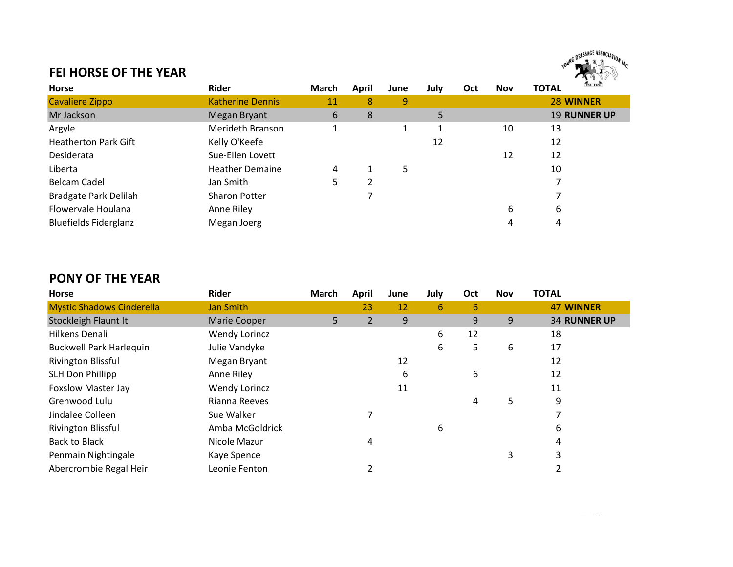

#### **FEI HORSE OF THE YEAR**

| <b>Horse</b>                 | Rider                   | March | April | June | July | Oct | <b>Nov</b> | EST. 1974<br><b>TOTAL</b> |
|------------------------------|-------------------------|-------|-------|------|------|-----|------------|---------------------------|
| <b>Cavaliere Zippo</b>       | <b>Katherine Dennis</b> | 11    | 8     | 9    |      |     |            | 28 WINNER                 |
| Mr Jackson                   | Megan Bryant            | 6     | 8     |      | 5    |     |            | <b>19 RUNNER UP</b>       |
| Argyle                       | <b>Merideth Branson</b> |       |       |      |      |     | 10         | 13                        |
| <b>Heatherton Park Gift</b>  | Kelly O'Keefe           |       |       |      | 12   |     |            | 12                        |
| Desiderata                   | Sue-Ellen Lovett        |       |       |      |      |     | 12         | 12                        |
| Liberta                      | <b>Heather Demaine</b>  | 4     |       | 5    |      |     |            | 10                        |
| <b>Belcam Cadel</b>          | Jan Smith               | כ     |       |      |      |     |            |                           |
| Bradgate Park Delilah        | <b>Sharon Potter</b>    |       |       |      |      |     |            |                           |
| Flowervale Houlana           | Anne Riley              |       |       |      |      |     | 6          | 6                         |
| <b>Bluefields Fiderglanz</b> | Megan Joerg             |       |       |      |      |     | 4          | 4                         |

## **PONY OF THE YEAR**

| <b>Horse</b>                     | <b>Rider</b>    | March | <b>April</b> | June | July | Oct | <b>Nov</b> | <b>TOTAL</b>        |
|----------------------------------|-----------------|-------|--------------|------|------|-----|------------|---------------------|
| <b>Mystic Shadows Cinderella</b> | Jan Smith       |       | 23           | 12   | 6    | 6   |            | <b>47 WINNER</b>    |
| Stockleigh Flaunt It             | Marie Cooper    | 5.    | 2            | 9    |      | 9   | 9          | <b>34 RUNNER UP</b> |
| Hilkens Denali                   | Wendy Lorincz   |       |              |      | 6    | 12  |            | 18                  |
| <b>Buckwell Park Harlequin</b>   | Julie Vandyke   |       |              |      | 6    | 5   | 6          | 17                  |
| Rivington Blissful               | Megan Bryant    |       |              | 12   |      |     |            | 12                  |
| <b>SLH Don Phillipp</b>          | Anne Riley      |       |              | 6    |      | 6   |            | 12                  |
| <b>Foxslow Master Jay</b>        | Wendy Lorincz   |       |              | 11   |      |     |            | 11                  |
| Grenwood Lulu                    | Rianna Reeves   |       |              |      |      | 4   | 5          | 9                   |
| Jindalee Colleen                 | Sue Walker      |       |              |      |      |     |            |                     |
| Rivington Blissful               | Amba McGoldrick |       |              |      | 6    |     |            | 6                   |
| <b>Back to Black</b>             | Nicole Mazur    |       | 4            |      |      |     |            | 4                   |
| Penmain Nightingale              | Kaye Spence     |       |              |      |      |     | 3          | 3                   |
| Abercrombie Regal Heir           | Leonie Fenton   |       |              |      |      |     |            |                     |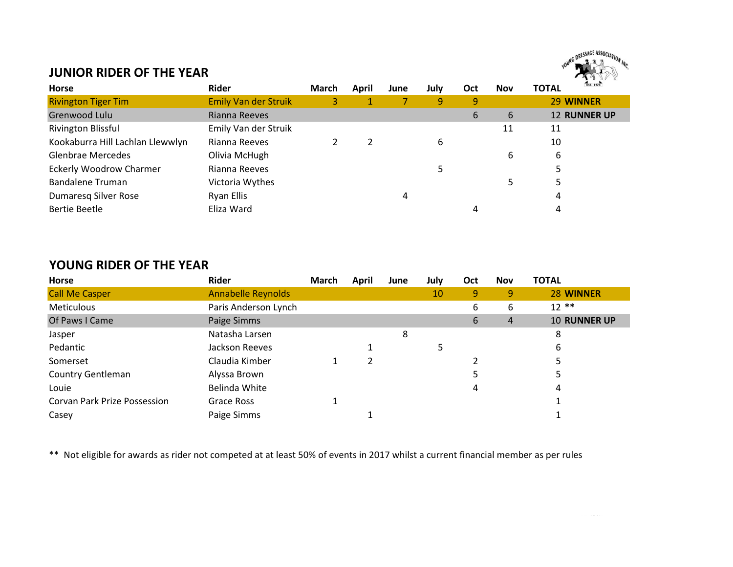

. . . . . . . . .

#### **JUNIOR RIDER OF THE YEAR**

| <b>Horse</b>                     | Rider                       | March | April | June | July | Oct | <b>Nov</b> | EST. 1974<br><b>TOTAL</b> |
|----------------------------------|-----------------------------|-------|-------|------|------|-----|------------|---------------------------|
| <b>Rivington Tiger Tim</b>       | <b>Emily Van der Struik</b> | 3.    |       |      | 9    | 9   |            | 29 WINNER                 |
| Grenwood Lulu                    | Rianna Reeves               |       |       |      |      | 6   | 6          | <b>12 RUNNER UP</b>       |
| Rivington Blissful               | Emily Van der Struik        |       |       |      |      |     | 11         | 11                        |
| Kookaburra Hill Lachlan Llewwlyn | Rianna Reeves               |       |       |      | 6    |     |            | 10                        |
| <b>Glenbrae Mercedes</b>         | Olivia McHugh               |       |       |      |      |     | 6          | 6                         |
| <b>Eckerly Woodrow Charmer</b>   | Rianna Reeves               |       |       |      | 5    |     |            | 5                         |
| <b>Bandalene Truman</b>          | Victoria Wythes             |       |       |      |      |     |            | 5                         |
| Dumaresq Silver Rose             | Ryan Ellis                  |       |       | 4    |      |     |            | 4                         |
| Bertie Beetle                    | Eliza Ward                  |       |       |      |      | 4   |            | 4                         |

#### **YOUNG RIDER OF THE YEAR**

| Horse                        | Rider                     | <b>March</b> | April | June | July | Oct | <b>Nov</b> | <b>TOTAL</b>        |
|------------------------------|---------------------------|--------------|-------|------|------|-----|------------|---------------------|
| <b>Call Me Casper</b>        | <b>Annabelle Reynolds</b> |              |       |      | 10   | 9   | 9          | 28 WINNER           |
| <b>Meticulous</b>            | Paris Anderson Lynch      |              |       |      |      | 6   | 6          | $12$ **             |
| Of Paws I Came               | Paige Simms               |              |       |      |      | 6   | 4          | <b>10 RUNNER UP</b> |
| Jasper                       | Natasha Larsen            |              |       | 8    |      |     |            | 8                   |
| Pedantic                     | Jackson Reeves            |              |       |      | 5    |     |            | 6                   |
| Somerset                     | Claudia Kimber            |              |       |      |      |     |            |                     |
| Country Gentleman            | Alyssa Brown              |              |       |      |      |     |            | ⊃                   |
| Louie                        | Belinda White             |              |       |      |      | 4   |            | 4                   |
| Corvan Park Prize Possession | Grace Ross                |              |       |      |      |     |            |                     |
| Casey                        | Paige Simms               |              |       |      |      |     |            |                     |

\*\* Not eligible for awards as rider not competed at at least 50% of events in 2017 whilst a current financial member as per rules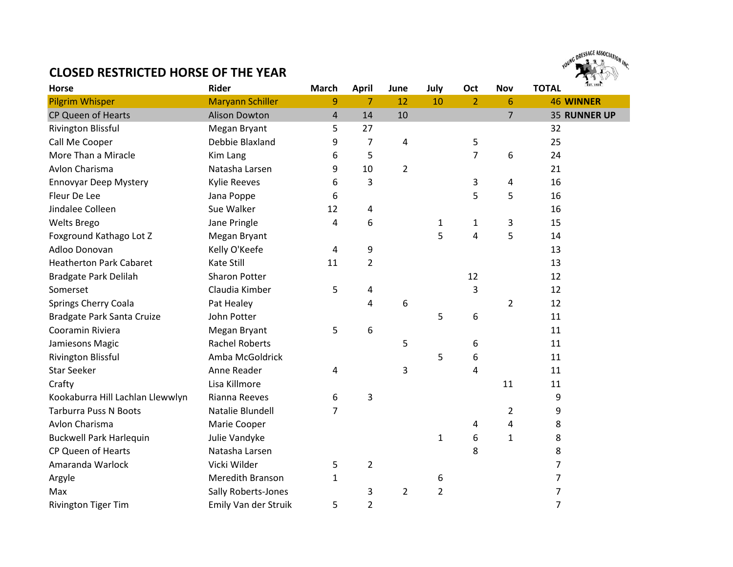### **CLOSED RESTRICTED HORSE OF THE YEAR**



| Horse                            | <b>Rider</b>            | <b>March</b>   | <b>April</b>   | June           | July           | Oct            | <b>Nov</b>     | <b>TOTAL</b>   | EST. 1974           |
|----------------------------------|-------------------------|----------------|----------------|----------------|----------------|----------------|----------------|----------------|---------------------|
| <b>Pilgrim Whisper</b>           | <b>Maryann Schiller</b> | 9              | $\overline{7}$ | 12             | 10             | $\overline{2}$ | 6              |                | <b>46 WINNER</b>    |
| CP Queen of Hearts               | <b>Alison Dowton</b>    | $\overline{4}$ | 14             | 10             |                |                | $\overline{7}$ |                | <b>35 RUNNER UP</b> |
| <b>Rivington Blissful</b>        | Megan Bryant            | 5              | 27             |                |                |                |                | 32             |                     |
| Call Me Cooper                   | Debbie Blaxland         | 9              | 7              | 4              |                | 5              |                | 25             |                     |
| More Than a Miracle              | Kim Lang                | 6              | 5              |                |                | 7              | 6              | 24             |                     |
| Avlon Charisma                   | Natasha Larsen          | 9              | 10             | $\overline{2}$ |                |                |                | 21             |                     |
| <b>Ennovyar Deep Mystery</b>     | <b>Kylie Reeves</b>     | 6              | 3              |                |                | 3              | 4              | 16             |                     |
| Fleur De Lee                     | Jana Poppe              | 6              |                |                |                | 5              | 5              | 16             |                     |
| Jindalee Colleen                 | Sue Walker              | 12             | 4              |                |                |                |                | 16             |                     |
| <b>Welts Brego</b>               | Jane Pringle            | 4              | 6              |                | $\mathbf{1}$   | $\mathbf{1}$   | 3              | 15             |                     |
| Foxground Kathago Lot Z          | Megan Bryant            |                |                |                | 5              | 4              | 5              | 14             |                     |
| Adloo Donovan                    | Kelly O'Keefe           | 4              | 9              |                |                |                |                | 13             |                     |
| <b>Heatherton Park Cabaret</b>   | Kate Still              | 11             | $\overline{2}$ |                |                |                |                | 13             |                     |
| Bradgate Park Delilah            | <b>Sharon Potter</b>    |                |                |                |                | 12             |                | 12             |                     |
| Somerset                         | Claudia Kimber          | 5              | 4              |                |                | 3              |                | 12             |                     |
| Springs Cherry Coala             | Pat Healey              |                | 4              | 6              |                |                | $\overline{2}$ | 12             |                     |
| Bradgate Park Santa Cruize       | John Potter             |                |                |                | 5              | 6              |                | 11             |                     |
| Cooramin Riviera                 | Megan Bryant            | 5              | 6              |                |                |                |                | 11             |                     |
| Jamiesons Magic                  | <b>Rachel Roberts</b>   |                |                | 5              |                | 6              |                | 11             |                     |
| Rivington Blissful               | Amba McGoldrick         |                |                |                | 5              | 6              |                | 11             |                     |
| <b>Star Seeker</b>               | Anne Reader             | 4              |                | 3              |                | 4              |                | 11             |                     |
| Crafty                           | Lisa Killmore           |                |                |                |                |                | 11             | 11             |                     |
| Kookaburra Hill Lachlan Llewwlyn | Rianna Reeves           | 6              | 3              |                |                |                |                | 9              |                     |
| <b>Tarburra Puss N Boots</b>     | Natalie Blundell        | 7              |                |                |                |                | $\overline{2}$ | 9              |                     |
| Avlon Charisma                   | Marie Cooper            |                |                |                |                | 4              | 4              | 8              |                     |
| <b>Buckwell Park Harlequin</b>   | Julie Vandyke           |                |                |                | 1              | 6              | $\mathbf{1}$   | 8              |                     |
| CP Queen of Hearts               | Natasha Larsen          |                |                |                |                | 8              |                | 8              |                     |
| Amaranda Warlock                 | Vicki Wilder            | 5              | $\overline{2}$ |                |                |                |                | $\overline{7}$ |                     |
| Argyle                           | Meredith Branson        | 1              |                |                | 6              |                |                | $\overline{7}$ |                     |
| Max                              | Sally Roberts-Jones     |                | 3              | $\overline{2}$ | $\overline{2}$ |                |                | $\overline{7}$ |                     |
| <b>Rivington Tiger Tim</b>       | Emily Van der Struik    | 5              | $\overline{2}$ |                |                |                |                | $\overline{7}$ |                     |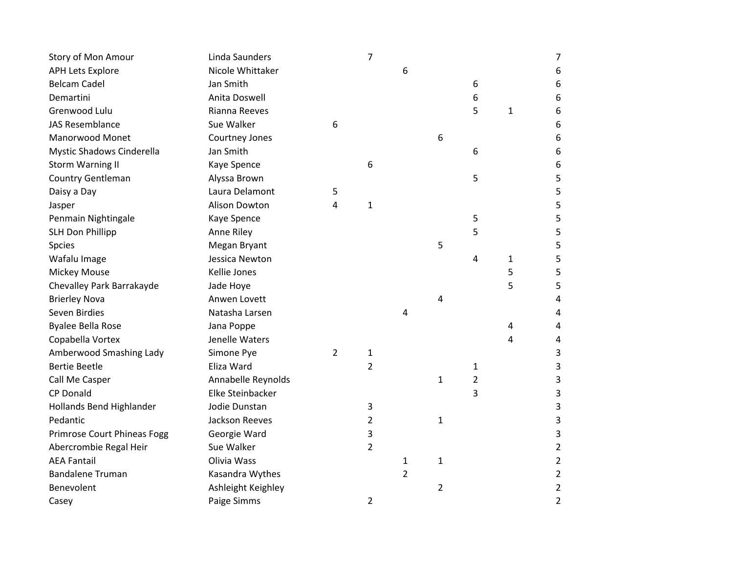| Story of Mon Amour                 | Linda Saunders     |                | $\overline{7}$ |   |                |                |              | 7              |
|------------------------------------|--------------------|----------------|----------------|---|----------------|----------------|--------------|----------------|
| <b>APH Lets Explore</b>            | Nicole Whittaker   |                |                | 6 |                |                |              | 6              |
| <b>Belcam Cadel</b>                | Jan Smith          |                |                |   |                | 6              |              | 6              |
| Demartini                          | Anita Doswell      |                |                |   |                | 6              |              | 6              |
| Grenwood Lulu                      | Rianna Reeves      |                |                |   |                | 5              | $\mathbf{1}$ | 6              |
| <b>JAS Resemblance</b>             | Sue Walker         | 6              |                |   |                |                |              | 6              |
| Manorwood Monet                    | Courtney Jones     |                |                |   | 6              |                |              | 6              |
| Mystic Shadows Cinderella          | Jan Smith          |                |                |   |                | 6              |              | 6              |
| <b>Storm Warning II</b>            | Kaye Spence        |                | 6              |   |                |                |              | 6              |
| Country Gentleman                  | Alyssa Brown       |                |                |   |                | 5              |              | 5              |
| Daisy a Day                        | Laura Delamont     | 5              |                |   |                |                |              | 5              |
| Jasper                             | Alison Dowton      | 4              | $\mathbf{1}$   |   |                |                |              | 5              |
| Penmain Nightingale                | Kaye Spence        |                |                |   |                | 5              |              | 5              |
| <b>SLH Don Phillipp</b>            | Anne Riley         |                |                |   |                | 5              |              | 5              |
| Spcies                             | Megan Bryant       |                |                |   | 5              |                |              | 5              |
| Wafalu Image                       | Jessica Newton     |                |                |   |                | 4              | $\mathbf{1}$ | 5              |
| <b>Mickey Mouse</b>                | Kellie Jones       |                |                |   |                |                | 5            | 5              |
| Chevalley Park Barrakayde          | Jade Hoye          |                |                |   |                |                | 5            | 5              |
| <b>Brierley Nova</b>               | Anwen Lovett       |                |                |   | 4              |                |              | 4              |
| Seven Birdies                      | Natasha Larsen     |                |                | 4 |                |                |              | 4              |
| <b>Byalee Bella Rose</b>           | Jana Poppe         |                |                |   |                |                | 4            | 4              |
| Copabella Vortex                   | Jenelle Waters     |                |                |   |                |                | 4            | 4              |
| Amberwood Smashing Lady            | Simone Pye         | $\overline{2}$ | 1              |   |                |                |              | 3              |
| <b>Bertie Beetle</b>               | Eliza Ward         |                | $\overline{2}$ |   |                | 1              |              | 3              |
| Call Me Casper                     | Annabelle Reynolds |                |                |   | $\mathbf{1}$   | $\overline{2}$ |              | 3              |
| <b>CP Donald</b>                   | Elke Steinbacker   |                |                |   |                | 3              |              | 3              |
| Hollands Bend Highlander           | Jodie Dunstan      |                | 3              |   |                |                |              | 3              |
| Pedantic                           | Jackson Reeves     |                | 2              |   | $\mathbf{1}$   |                |              | 3              |
| <b>Primrose Court Phineas Fogg</b> | Georgie Ward       |                | 3              |   |                |                |              | 3              |
| Abercrombie Regal Heir             | Sue Walker         |                | $\overline{2}$ |   |                |                |              | $\overline{a}$ |
| <b>AEA Fantail</b>                 | Olivia Wass        |                |                | 1 | $\mathbf{1}$   |                |              | 2              |
| <b>Bandalene Truman</b>            | Kasandra Wythes    |                |                | 2 |                |                |              | 2              |
| Benevolent                         | Ashleight Keighley |                |                |   | $\overline{2}$ |                |              | $\overline{c}$ |
| Casey                              | Paige Simms        |                | $\overline{2}$ |   |                |                |              | $\overline{a}$ |